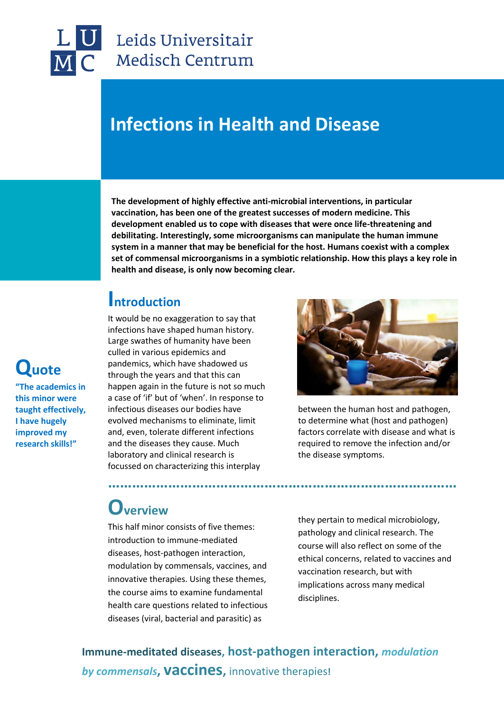

## **Infections in Health and Disease**

**The development of highly effective anti-microbial interventions, in particular vaccination, has been one of the greatest successes of modern medicine. This development enabled us to cope with diseases that were once life-threatening and debilitating. Interestingly, some microorganisms can manipulate the human immune system in a manner that may be beneficial for the host. Humans coexist with a complex set of commensal microorganisms in a symbiotic relationship. How this plays a key role in health and disease, is only now becoming clear.**

**……………………………………………………………………………**

### **Introduction**

It would be no exaggeration to say that infections have shaped human history. Large swathes of humanity have been culled in various epidemics and pandemics, which have shadowed us through the years and that this can happen again in the future is not so much a case of 'if' but of 'when'. In response to infectious diseases our bodies have evolved mechanisms to eliminate, limit and, even, tolerate different infections and the diseases they cause. Much laboratory and clinical research is focussed on characterizing this interplay



between the human host and pathogen, to determine what (host and pathogen) factors correlate with disease and what is required to remove the infection and/or the disease symptoms.

## **Overview**

This half minor consists of five themes: introduction to immune-mediated diseases, host-pathogen interaction, modulation by commensals, vaccines, and innovative therapies. Using these themes, the course aims to examine fundamental health care questions related to infectious diseases (viral, bacterial and parasitic) as

they pertain to medical microbiology, pathology and clinical research. The course will also reflect on some of the ethical concerns, related to vaccines and vaccination research, but with implications across many medical disciplines.

**Immune-meditated diseases, host-pathogen interaction,** *modulation by commensals***, vaccines,** innovative therapies**!**

# **Quote**

**"The academics in this minor were taught effectively, I have hugely improved my research skills!"**